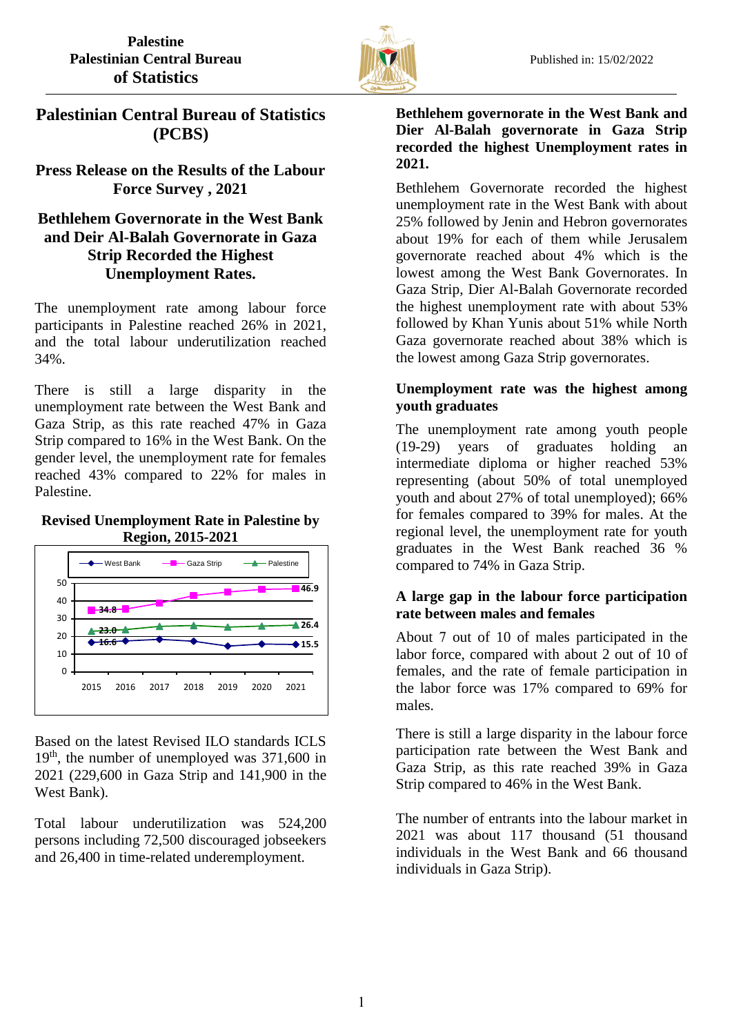

# **Palestinian Central Bureau of Statistics (PCBS)**

## **Press Release on the Results of the Labour Force Survey , 2021**

# **Bethlehem Governorate in the West Bank and Deir Al-Balah Governorate in Gaza Strip Recorded the Highest Unemployment Rates.**

The unemployment rate among labour force participants in Palestine reached 26% in 2021, and the total labour underutilization reached 34%.

There is still a large disparity in the unemployment rate between the West Bank and Gaza Strip, as this rate reached 47% in Gaza Strip compared to 16% in the West Bank. On the gender level, the unemployment rate for females reached 43% compared to 22% for males in Palestine.

#### **Revised Unemployment Rate in Palestine by Region, 2015-2021**



Based on the latest Revised ILO standards ICLS 19th, the number of unemployed was 371,600 in 2021 (229,600 in Gaza Strip and 141,900 in the West Bank).

Total labour underutilization was 524,200 persons including 72,500 discouraged jobseekers and 26,400 in time-related underemployment.

#### **Bethlehem governorate in the West Bank and Dier Al-Balah governorate in Gaza Strip recorded the highest Unemployment rates in 2021.**

Bethlehem Governorate recorded the highest unemployment rate in the West Bank with about 25% followed by Jenin and Hebron governorates about 19% for each of them while Jerusalem governorate reached about 4% which is the lowest among the West Bank Governorates. In Gaza Strip, Dier Al-Balah Governorate recorded the highest unemployment rate with about 53% followed by Khan Yunis about 51% while North Gaza governorate reached about 38% which is the lowest among Gaza Strip governorates.

## **Unemployment rate was the highest among youth graduates**

The unemployment rate among youth people (19-29) years of graduates holding an intermediate diploma or higher reached 53% representing (about 50% of total unemployed youth and about 27% of total unemployed); 66% for females compared to 39% for males. At the regional level, the unemployment rate for youth graduates in the West Bank reached 36 % compared to 74% in Gaza Strip.

### **A large gap in the labour force participation rate between males and females**

About 7 out of 10 of males participated in the labor force, compared with about 2 out of 10 of females, and the rate of female participation in the labor force was 17% compared to 69% for males.

There is still a large disparity in the labour force participation rate between the West Bank and Gaza Strip, as this rate reached 39% in Gaza Strip compared to 46% in the West Bank.

The number of entrants into the labour market in 2021 was about 117 thousand (51 thousand individuals in the West Bank and 66 thousand individuals in Gaza Strip).